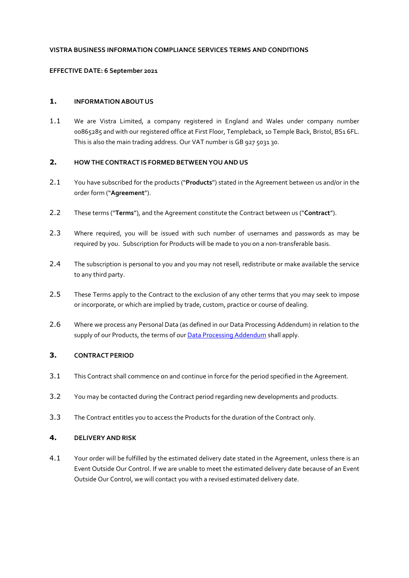### **VISTRA BUSINESS INFORMATION COMPLIANCE SERVICES TERMS AND CONDITIONS**

#### **EFFECTIVE DATE: 6 September 2021**

## **1. INFORMATION ABOUT US**

1.1 We are Vistra Limited, a company registered in England and Wales under company number 00865285 and with our registered office at First Floor, Templeback, 10 Temple Back, Bristol, BS1 6FL. This is also the main trading address. Our VAT number is GB 927 5031 30.

# **2. HOW THE CONTRACT IS FORMEDBETWEEN YOU AND US**

- 2.1 You have subscribed for the products ("**Products**") stated in the Agreement between us and/or in the order form ("**Agreement**").
- 2.2 These terms ("**Terms**"), and the Agreement constitute the Contract between us ("**Contract**").
- 2.3 Where required, you will be issued with such number of usernames and passwords as may be required by you. Subscription for Products will be made to you on a non-transferable basis.
- 2.4 The subscription is personal to you and you may not resell, redistribute or make available the service to any third party.
- 2.5 These Terms apply to the Contract to the exclusion of any other terms that you may seek to impose or incorporate, or which are implied by trade, custom, practice or course of dealing.
- 2.6 Where we process any Personal Data (as defined in our Data Processing Addendum) in relation to the supply of our Products, the terms of our [Data Processing Addendum](https://www.vistra.com/sites/default/files/2021-09/VL%20data%20processing%20addendum%20updatedDec20.pdf) shall apply.

### **3. CONTRACT PERIOD**

- 3.1 This Contract shall commence on and continue in force for the period specified in the Agreement.
- 3.2 You may be contacted during the Contract period regarding new developments and products.
- 3.3 The Contract entitles you to access the Products for the duration of the Contract only.

### **4. DELIVERY ANDRISK**

4.1 Your order will be fulfilled by the estimated delivery date stated in the Agreement, unless there is an Event Outside Our Control. If we are unable to meet the estimated delivery date because of an Event Outside Our Control, we will contact you with a revised estimated delivery date.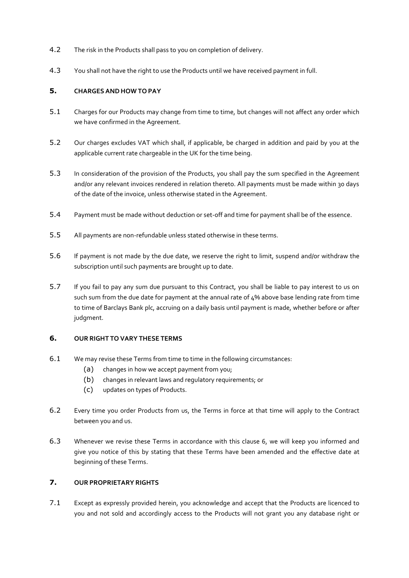- 4.2 The risk in the Products shall pass to you on completion of delivery.
- 4.3 You shall not have the right to use the Products until we have received payment in full.

## **5. CHARGES ANDHOW TO PAY**

- 5.1 Charges for our Products may change from time to time, but changes will not affect any order which we have confirmed in the Agreement.
- 5.2 Our charges excludes VAT which shall, if applicable, be charged in addition and paid by you at the applicable current rate chargeable in the UK for the time being.
- 5.3 In consideration of the provision of the Products, you shall pay the sum specified in the Agreement and/or any relevant invoices rendered in relation thereto. All payments must be made within 30 days of the date of the invoice, unless otherwise stated in the Agreement.
- 5.4 Payment must be made without deduction or set-off and time for payment shall be of the essence.
- 5.5 All payments are non-refundable unless stated otherwise in these terms.
- 5.6 If payment is not made by the due date, we reserve the right to limit, suspend and/or withdraw the subscription until such payments are brought up to date.
- 5.7 If you fail to pay any sum due pursuant to this Contract, you shall be liable to pay interest to us on such sum from the due date for payment at the annual rate of  $4\%$  above base lending rate from time to time of Barclays Bank plc, accruing on a daily basis until payment is made, whether before or after judgment.

### **6. OUR RIGHT TO VARY THESE TERMS**

- 6.1 We may revise these Terms from time to time in the following circumstances:
	- (a) changes in how we accept payment from you;
	- (b) changes in relevant laws and regulatory requirements; or
	- (c) updates on types of Products.
- 6.2 Every time you order Products from us, the Terms in force at that time will apply to the Contract between you and us.
- 6.3 Whenever we revise these Terms in accordance with this clause 6, we will keep you informed and give you notice of this by stating that these Terms have been amended and the effective date at beginning of these Terms.

# **7. OUR PROPRIETARY RIGHTS**

7.1 Except as expressly provided herein, you acknowledge and accept that the Products are licenced to you and not sold and accordingly access to the Products will not grant you any database right or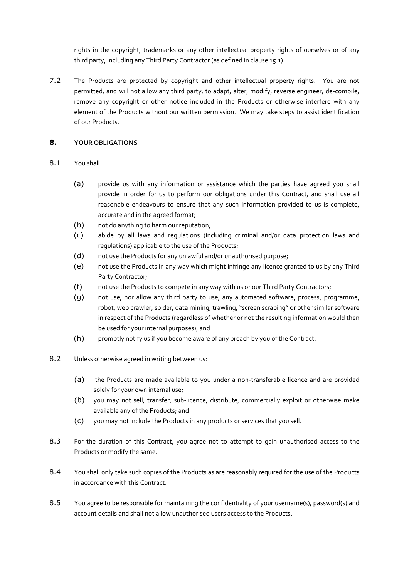rights in the copyright, trademarks or any other intellectual property rights of ourselves or of any third party, including any Third Party Contractor (as defined in clause 15.1).

7.2 The Products are protected by copyright and other intellectual property rights. You are not permitted, and will not allow any third party, to adapt, alter, modify, reverse engineer, de-compile, remove any copyright or other notice included in the Products or otherwise interfere with any element of the Products without our written permission. We may take steps to assist identification of our Products.

## **8. YOUR OBLIGATIONS**

### 8.1 You shall:

- (a) provide us with any information or assistance which the parties have agreed you shall provide in order for us to perform our obligations under this Contract, and shall use all reasonable endeavours to ensure that any such information provided to us is complete, accurate and in the agreed format;
- (b) not do anything to harm our reputation;
- (c) abide by all laws and regulations (including criminal and/or data protection laws and regulations) applicable to the use of the Products;
- (d) not use the Products for any unlawful and/or unauthorised purpose;
- (e) not use the Products in any way which might infringe any licence granted to us by any Third Party Contractor;
- (f) not use the Products to compete in any way with us or our Third Party Contractors;
- (g) not use, nor allow any third party to use, any automated software, process, programme, robot, web crawler, spider, data mining, trawling, "screen scraping" or other similar software in respect of the Products (regardless of whether or not the resulting information would then be used for your internal purposes); and
- (h) promptly notify us if you become aware of any breach by you of the Contract.
- 8.2 Unless otherwise agreed in writing between us:
	- (a) the Products are made available to you under a non-transferable licence and are provided solely for your own internal use;
	- (b) you may not sell, transfer, sub-licence, distribute, commercially exploit or otherwise make available any of the Products; and
	- (c) you may not include the Products in any products or services that you sell.
- 8.3 For the duration of this Contract, you agree not to attempt to gain unauthorised access to the Products or modify the same.
- 8.4 You shall only take such copies of the Products as are reasonably required for the use of the Products in accordance with this Contract.
- 8.5 You agree to be responsible for maintaining the confidentiality of your username(s), password(s) and account details and shall not allow unauthorised users access to the Products.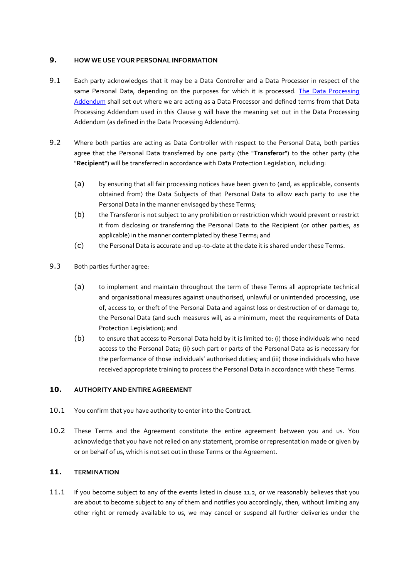## **9. HOW WE USE YOUR PERSONAL INFORMATION**

- 9.1 Each party acknowledges that it may be a Data Controller and a Data Processor in respect of the same Personal Data, depending on the purposes for which it is processed. The Data Processing [Addendum](https://www.vistra.com/sites/default/files/2021-09/VL%20data%20processing%20addendum%20updatedDec20.pdf) shall set out where we are acting as a Data Processor and defined terms from that Data Processing Addendum used in this Clause 9 will have the meaning set out in the Data Processing Addendum (as defined in the Data Processing Addendum).
- 9.2 Where both parties are acting as Data Controller with respect to the Personal Data, both parties agree that the Personal Data transferred by one party (the "**Transferor**") to the other party (the "**Recipient**") will be transferred in accordance with Data Protection Legislation, including:
	- (a) by ensuring that all fair processing notices have been given to (and, as applicable, consents obtained from) the Data Subjects of that Personal Data to allow each party to use the Personal Data in the manner envisaged by these Terms;
	- (b) the Transferor is not subject to any prohibition or restriction which would prevent or restrict it from disclosing or transferring the Personal Data to the Recipient (or other parties, as applicable) in the manner contemplated by these Terms; and
	- (c) the Personal Data is accurate and up-to-date at the date it is shared under these Terms.
- 9.3 Both parties further agree:
	- (a) to implement and maintain throughout the term of these Terms all appropriate technical and organisational measures against unauthorised, unlawful or unintended processing, use of, access to, or theft of the Personal Data and against loss or destruction of or damage to, the Personal Data (and such measures will, as a minimum, meet the requirements of Data Protection Legislation); and
	- (b) to ensure that access to Personal Data held by it is limited to: (i) those individuals who need access to the Personal Data; (ii) such part or parts of the Personal Data as is necessary for the performance of those individuals' authorised duties; and (iii) those individuals who have received appropriate training to process the Personal Data in accordance with these Terms.

### **10. AUTHORITY ANDENTIRE AGREEMENT**

- 10.1 You confirm that you have authority to enter into the Contract.
- 10.2 These Terms and the Agreement constitute the entire agreement between you and us. You acknowledge that you have not relied on any statement, promise or representation made or given by or on behalf of us, which is not set out in these Terms or the Agreement.

# **11. TERMINATION**

11.1 If you become subject to any of the events listed in clause 11.2, or we reasonably believes that you are about to become subject to any of them and notifies you accordingly, then, without limiting any other right or remedy available to us, we may cancel or suspend all further deliveries under the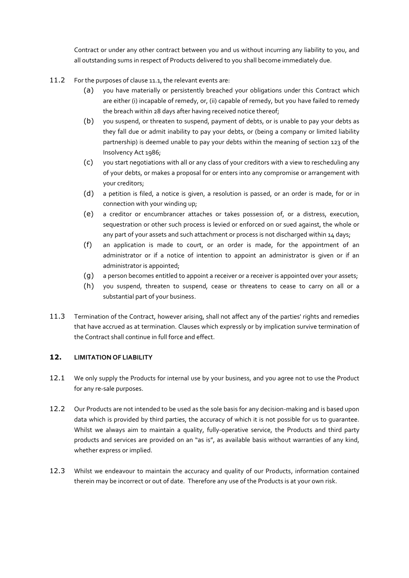Contract or under any other contract between you and us without incurring any liability to you, and all outstanding sums in respect of Products delivered to you shall become immediately due.

- 11.2 For the purposes of clause 11.1, the relevant events are:
	- (a) you have materially or persistently breached your obligations under this Contract which are either (i) incapable of remedy, or, (ii) capable of remedy, but you have failed to remedy the breach within 28 days after having received notice thereof;
	- (b) you suspend, or threaten to suspend, payment of debts, or is unable to pay your debts as they fall due or admit inability to pay your debts, or (being a company or limited liability partnership) is deemed unable to pay your debts within the meaning of section 123 of the Insolvency Act 1986;
	- (c) you start negotiations with all or any class of your creditors with a view to rescheduling any of your debts, or makes a proposal for or enters into any compromise or arrangement with your creditors;
	- (d) a petition is filed, a notice is given, a resolution is passed, or an order is made, for or in connection with your winding up;
	- (e) a creditor or encumbrancer attaches or takes possession of, or a distress, execution, sequestration or other such process is levied or enforced on or sued against, the whole or any part of your assets and such attachment or process is not discharged within 14 days;
	- (f) an application is made to court, or an order is made, for the appointment of an administrator or if a notice of intention to appoint an administrator is given or if an administrator is appointed;
	- (g) a person becomes entitled to appoint a receiver or a receiver is appointed over your assets;
	- (h) you suspend, threaten to suspend, cease or threatens to cease to carry on all or a substantial part of your business.
- 11.3 Termination of the Contract, however arising, shall not affect any of the parties' rights and remedies that have accrued as at termination. Clauses which expressly or by implication survive termination of the Contract shall continue in full force and effect.

# **12. LIMITATION OF LIABILITY**

- 12.1 We only supply the Products for internal use by your business, and you agree not to use the Product for any re-sale purposes.
- 12.2 Our Products are not intended to be used as the sole basis for any decision-making and is based upon data which is provided by third parties, the accuracy of which it is not possible for us to guarantee. Whilst we always aim to maintain a quality, fully-operative service, the Products and third party products and services are provided on an "as is", as available basis without warranties of any kind, whether express or implied.
- 12.3 Whilst we endeavour to maintain the accuracy and quality of our Products, information contained therein may be incorrect or out of date. Therefore any use of the Products is at your own risk.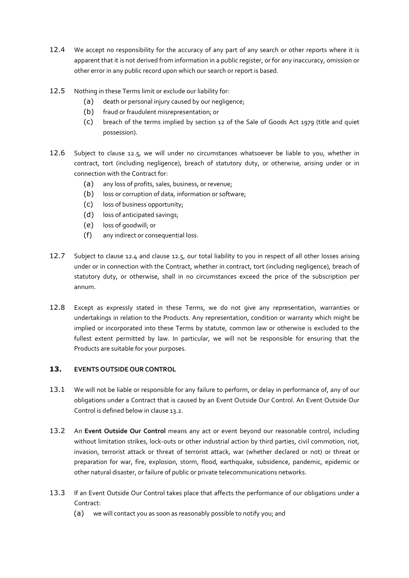- 12.4 We accept no responsibility for the accuracy of any part of any search or other reports where it is apparent that it is not derived from information in a public register, or for any inaccuracy, omission or other error in any public record upon which our search or report is based.
- 12.5 Nothing in these Terms limit or exclude our liability for:
	- (a) death or personal injury caused by our negligence;
	- (b) fraud or fraudulent misrepresentation; or
	- (c) breach of the terms implied by section 12 of the Sale of Goods Act 1979 (title and quiet possession).
- 12.6 Subject to clause 12.5, we will under no circumstances whatsoever be liable to you, whether in contract, tort (including negligence), breach of statutory duty, or otherwise, arising under or in connection with the Contract for:
	- (a) any loss of profits, sales, business, or revenue;
	- (b) loss or corruption of data, information or software;
	- (c) loss of business opportunity;
	- (d) loss of anticipated savings;
	- (e) loss of goodwill; or
	- (f) any indirect or consequential loss.
- 12.7 Subject to clause 12.4 and clause 12.5, our total liability to you in respect of all other losses arising under or in connection with the Contract, whether in contract, tort (including negligence), breach of statutory duty, or otherwise, shall in no circumstances exceed the price of the subscription per annum.
- 12.8 Except as expressly stated in these Terms, we do not give any representation, warranties or undertakings in relation to the Products. Any representation, condition or warranty which might be implied or incorporated into these Terms by statute, common law or otherwise is excluded to the fullest extent permitted by law. In particular, we will not be responsible for ensuring that the Products are suitable for your purposes.

## **13. EVENTS OUTSIDE OUR CONTROL**

- 13.1 We will not be liable or responsible for any failure to perform, or delay in performance of, any of our obligations under a Contract that is caused by an Event Outside Our Control. An Event Outside Our Control is defined below in claus[e 13.2.](#page-5-0)
- <span id="page-5-0"></span>13.2 An **Event Outside Our Control** means any act or event beyond our reasonable control, including without limitation strikes, lock-outs or other industrial action by third parties, civil commotion, riot, invasion, terrorist attack or threat of terrorist attack, war (whether declared or not) or threat or preparation for war, fire, explosion, storm, flood, earthquake, subsidence, pandemic, epidemic or other natural disaster, or failure of public or private telecommunications networks.
- 13.3 If an Event Outside Our Control takes place that affects the performance of our obligations under a Contract:
	- (a) we will contact you as soon as reasonably possible to notify you; and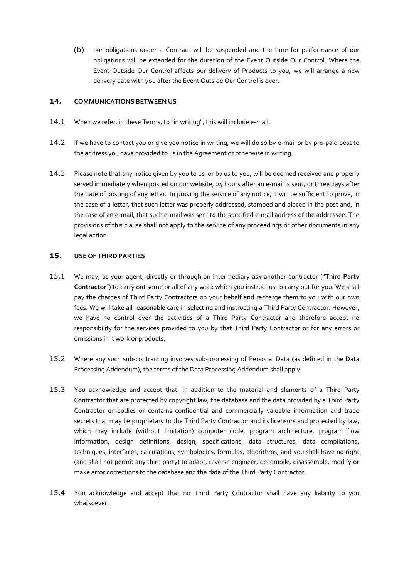(b) our obligations under a Contract will be suspended and the time for performance of our obligations will be extended for the duration of the Event Outside Our Control. Where the Event Outside Our Control affects our delivery of Products to you, we will arrange a new delivery date with you after the Event Outside Our Control is over.

### **14. COMMUNICATIONS BETWEEN US**

- 14.1 When we refer, in these Terms, to "in writing", this will include e-mail.
- 14.2 If we have to contact you or give you notice in writing, we will do so by e-mail or by pre-paid post to the address you have provided to us in the Agreement or otherwise in writing.
- 14.3 Please note that any notice given by you to us, or by us to you, will be deemed received and properly served immediately when posted on our website, 24 hours after an e-mail is sent, or three days after the date of posting of any letter. In proving the service of any notice, it will be sufficient to prove, in the case of a letter, that such letter was properly addressed, stamped and placed in the post and, in the case of an e-mail, that such e-mail was sent to the specified e-mail address of the addressee. The provisions of this clause shall not apply to the service of any proceedings or other documents in any legal action.

### **15. USE OF THIRDPARTIES**

- 15.1 We may, as your agent, directly or through an intermediary ask another contractor ("**Third Party Contractor**") to carry out some or all of any work which you instruct us to carry out for you. We shall pay the charges of Third Party Contractors on your behalf and recharge them to you with our own fees. We will take all reasonable care in selecting and instructing a Third Party Contractor. However, we have no control over the activities of a Third Party Contractor and therefore accept no responsibility for the services provided to you by that Third Party Contractor or for any errors or omissions in it work or products.
- 15.2 Where any such sub-contracting involves sub-processing of Personal Data (as defined in the Data Processing Addendum), the terms of the Data Processing Addendum shall apply.
- 15.3 You acknowledge and accept that, in addition to the material and elements of a Third Party Contractor that are protected by copyright law, the database and the data provided by a Third Party Contractor embodies or contains confidential and commercially valuable information and trade secrets that may be proprietary to the Third Party Contractor and its licensors and protected by law, which may include (without limitation) computer code, program architecture, program flow information, design definitions, design, specifications, data structures, data compilations, techniques, interfaces, calculations, symbologies, formulas, algorithms, and you shall have no right (and shall not permit any third party) to adapt, reverse engineer, decompile, disassemble, modify or make error corrections to the database and the data of the Third Party Contractor.
- 15.4 You acknowledge and accept that no Third Party Contractor shall have any liability to you whatsoever.